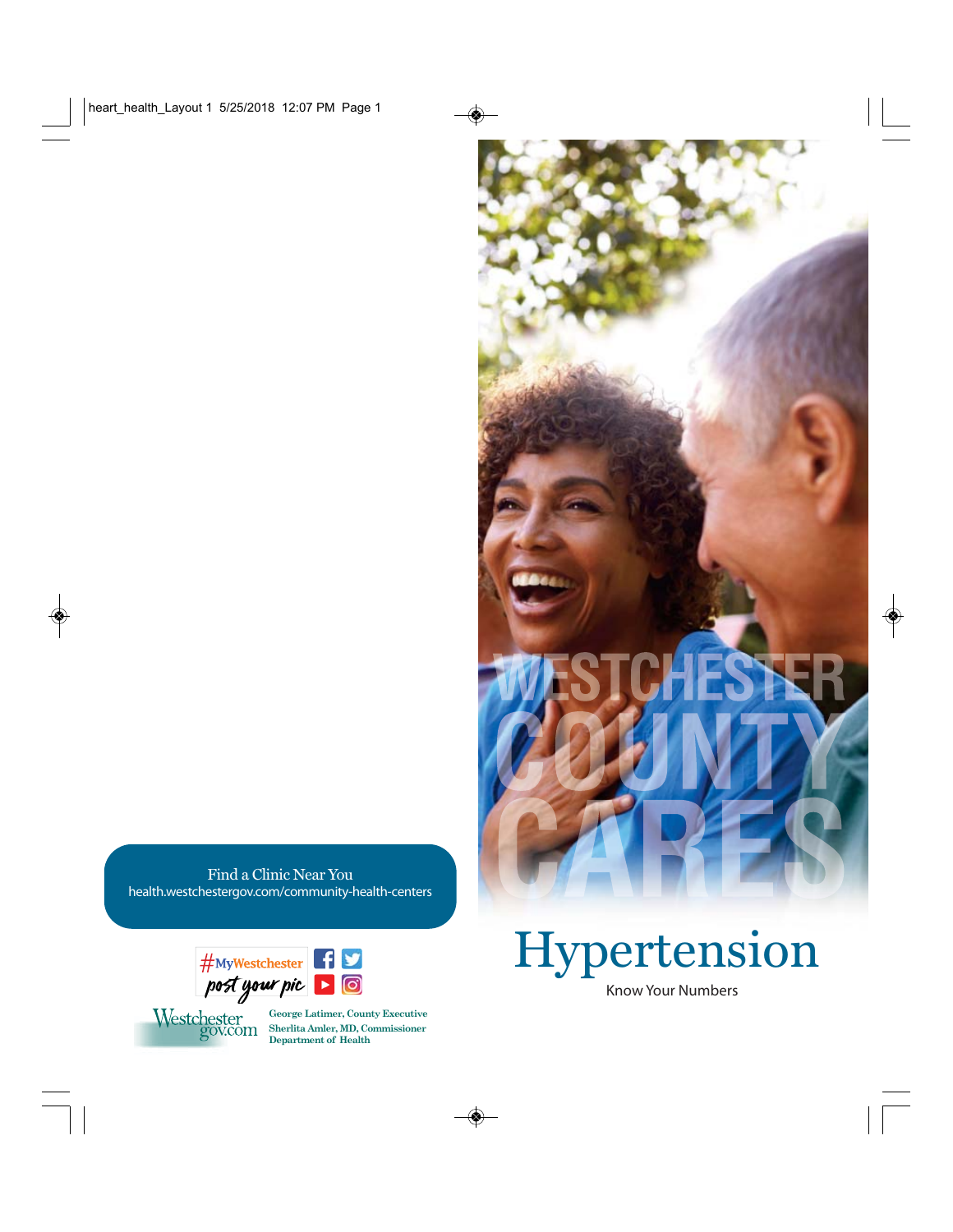



Find a Clinic Near You health.westchestergov.com/community-health-centers





**George Latimer, County Executive Department of Health Department of Health**

Hypertension

Know Your Numbers